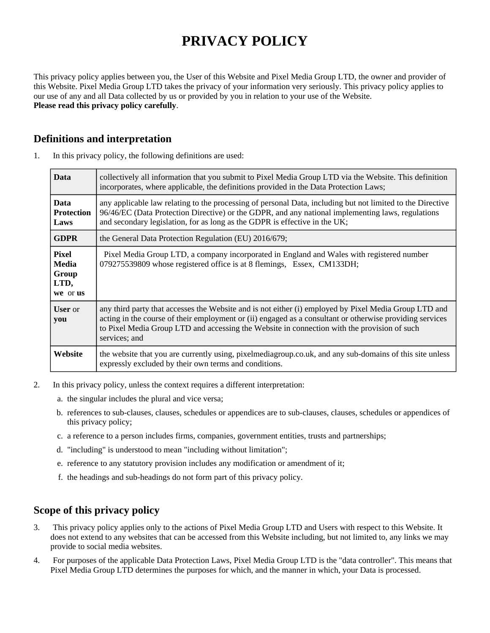# **PRIVACY POLICY**

This privacy policy applies between you, the User of this Website and Pixel Media Group LTD, the owner and provider of this Website. Pixel Media Group LTD takes the privacy of your information very seriously. This privacy policy applies to our use of any and all Data collected by us or provided by you in relation to your use of the Website. **Please read this privacy policy carefully**.

## **Definitions and interpretation**

| <b>Data</b>                                 | collectively all information that you submit to Pixel Media Group LTD via the Website. This definition<br>incorporates, where applicable, the definitions provided in the Data Protection Laws;                                                                                                                                   |
|---------------------------------------------|-----------------------------------------------------------------------------------------------------------------------------------------------------------------------------------------------------------------------------------------------------------------------------------------------------------------------------------|
| <b>Data</b><br><b>Protection</b><br>Laws    | any applicable law relating to the processing of personal Data, including but not limited to the Directive<br>96/46/EC (Data Protection Directive) or the GDPR, and any national implementing laws, regulations<br>and secondary legislation, for as long as the GDPR is effective in the UK;                                     |
| <b>GDPR</b>                                 | the General Data Protection Regulation (EU) 2016/679;                                                                                                                                                                                                                                                                             |
| Pixel<br>Media<br>Group<br>LTD,<br>we or us | Pixel Media Group LTD, a company incorporated in England and Wales with registered number<br>079275539809 whose registered office is at 8 flemings, Essex, CM133DH;                                                                                                                                                               |
| <b>User</b> or<br>you                       | any third party that accesses the Website and is not either (i) employed by Pixel Media Group LTD and<br>acting in the course of their employment or (ii) engaged as a consultant or otherwise providing services<br>to Pixel Media Group LTD and accessing the Website in connection with the provision of such<br>services; and |
| Website                                     | the website that you are currently using, pixelmediagroup.co.uk, and any sub-domains of this site unless<br>expressly excluded by their own terms and conditions.                                                                                                                                                                 |

1. In this privacy policy, the following definitions are used:

- 2. In this privacy policy, unless the context requires a different interpretation:
	- a. the singular includes the plural and vice versa;
	- b. references to sub-clauses, clauses, schedules or appendices are to sub-clauses, clauses, schedules or appendices of this privacy policy;
	- c. a reference to a person includes firms, companies, government entities, trusts and partnerships;
	- d. "including" is understood to mean "including without limitation";
	- e. reference to any statutory provision includes any modification or amendment of it;
	- f. the headings and sub-headings do not form part of this privacy policy.

## **Scope of this privacy policy**

- 3. This privacy policy applies only to the actions of Pixel Media Group LTD and Users with respect to this Website. It does not extend to any websites that can be accessed from this Website including, but not limited to, any links we may provide to social media websites.
- 4. For purposes of the applicable Data Protection Laws, Pixel Media Group LTD is the "data controller". This means that Pixel Media Group LTD determines the purposes for which, and the manner in which, your Data is processed.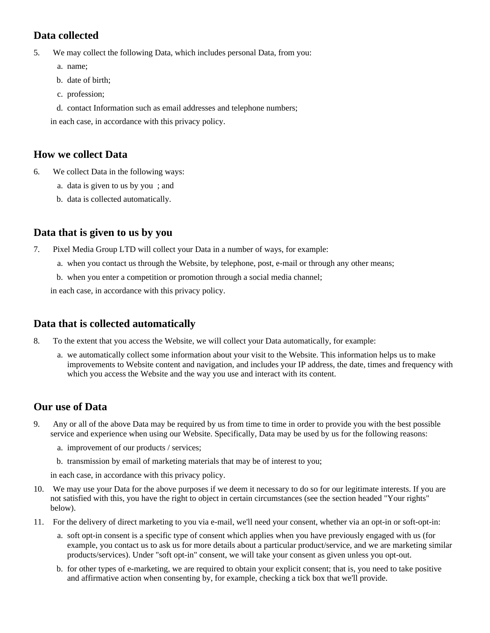# **Data collected**

5. We may collect the following Data, which includes personal Data, from you:

- a. name;
- b. date of birth;
- c. profession;
- d. contact Information such as email addresses and telephone numbers;

in each case, in accordance with this privacy policy.

## **How we collect Data**

- 6. We collect Data in the following ways:
	- a. data is given to us by you ; and
	- b. data is collected automatically.

## **Data that is given to us by you**

- 7. Pixel Media Group LTD will collect your Data in a number of ways, for example:
	- a. when you contact us through the Website, by telephone, post, e-mail or through any other means;
	- b. when you enter a competition or promotion through a social media channel;

in each case, in accordance with this privacy policy.

## **Data that is collected automatically**

- 8. To the extent that you access the Website, we will collect your Data automatically, for example:
	- a. we automatically collect some information about your visit to the Website. This information helps us to make improvements to Website content and navigation, and includes your IP address, the date, times and frequency with which you access the Website and the way you use and interact with its content.

## **Our use of Data**

- 9. Any or all of the above Data may be required by us from time to time in order to provide you with the best possible service and experience when using our Website. Specifically, Data may be used by us for the following reasons:
	- a. improvement of our products / services;
	- b. transmission by email of marketing materials that may be of interest to you;

in each case, in accordance with this privacy policy.

- 10. We may use your Data for the above purposes if we deem it necessary to do so for our legitimate interests. If you are not satisfied with this, you have the right to object in certain circumstances (see the section headed "Your rights" below).
- 11. For the delivery of direct marketing to you via e-mail, we'll need your consent, whether via an opt-in or soft-opt-in:
	- a. soft opt-in consent is a specific type of consent which applies when you have previously engaged with us (for example, you contact us to ask us for more details about a particular product/service, and we are marketing similar products/services). Under "soft opt-in" consent, we will take your consent as given unless you opt-out.
	- b. for other types of e-marketing, we are required to obtain your explicit consent; that is, you need to take positive and affirmative action when consenting by, for example, checking a tick box that we'll provide.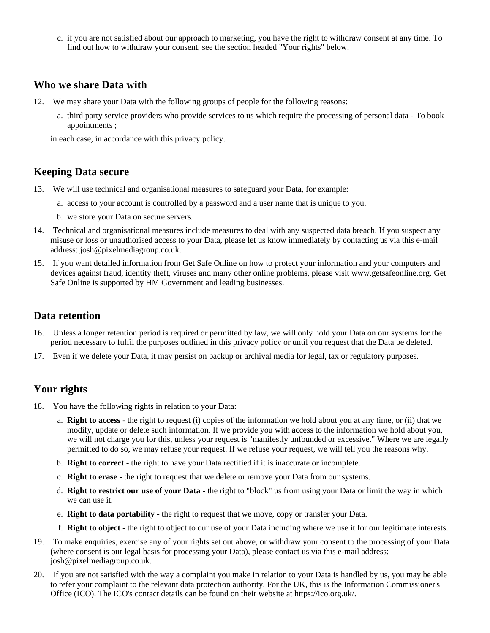c. if you are not satisfied about our approach to marketing, you have the right to withdraw consent at any time. To find out how to withdraw your consent, see the section headed "Your rights" below.

#### **Who we share Data with**

- 12. We may share your Data with the following groups of people for the following reasons:
	- a. third party service providers who provide services to us which require the processing of personal data To book appointments ;

in each case, in accordance with this privacy policy.

#### **Keeping Data secure**

- 13. We will use technical and organisational measures to safeguard your Data, for example:
	- a. access to your account is controlled by a password and a user name that is unique to you.
	- b. we store your Data on secure servers.
- 14. Technical and organisational measures include measures to deal with any suspected data breach. If you suspect any misuse or loss or unauthorised access to your Data, please let us know immediately by contacting us via this e-mail address: josh@pixelmediagroup.co.uk.
- 15. If you want detailed information from Get Safe Online on how to protect your information and your computers and devices against fraud, identity theft, viruses and many other online problems, please visit www.getsafeonline.org. Get Safe Online is supported by HM Government and leading businesses.

#### **Data retention**

- 16. Unless a longer retention period is required or permitted by law, we will only hold your Data on our systems for the period necessary to fulfil the purposes outlined in this privacy policy or until you request that the Data be deleted.
- 17. Even if we delete your Data, it may persist on backup or archival media for legal, tax or regulatory purposes.

## **Your rights**

- 18. You have the following rights in relation to your Data:
	- a. **Right to access** the right to request (i) copies of the information we hold about you at any time, or (ii) that we modify, update or delete such information. If we provide you with access to the information we hold about you, we will not charge you for this, unless your request is "manifestly unfounded or excessive." Where we are legally permitted to do so, we may refuse your request. If we refuse your request, we will tell you the reasons why.
	- b. **Right to correct** the right to have your Data rectified if it is inaccurate or incomplete.
	- c. **Right to erase** the right to request that we delete or remove your Data from our systems.
	- d. **Right to restrict our use of your Data** the right to "block" us from using your Data or limit the way in which we can use it.
	- e. **Right to data portability** the right to request that we move, copy or transfer your Data.
	- f. **Right to object** the right to object to our use of your Data including where we use it for our legitimate interests.
- 19. To make enquiries, exercise any of your rights set out above, or withdraw your consent to the processing of your Data (where consent is our legal basis for processing your Data), please contact us via this e-mail address: josh@pixelmediagroup.co.uk.
- 20. If you are not satisfied with the way a complaint you make in relation to your Data is handled by us, you may be able to refer your complaint to the relevant data protection authority. For the UK, this is the Information Commissioner's Office (ICO). The ICO's contact details can be found on their website at https://ico.org.uk/.